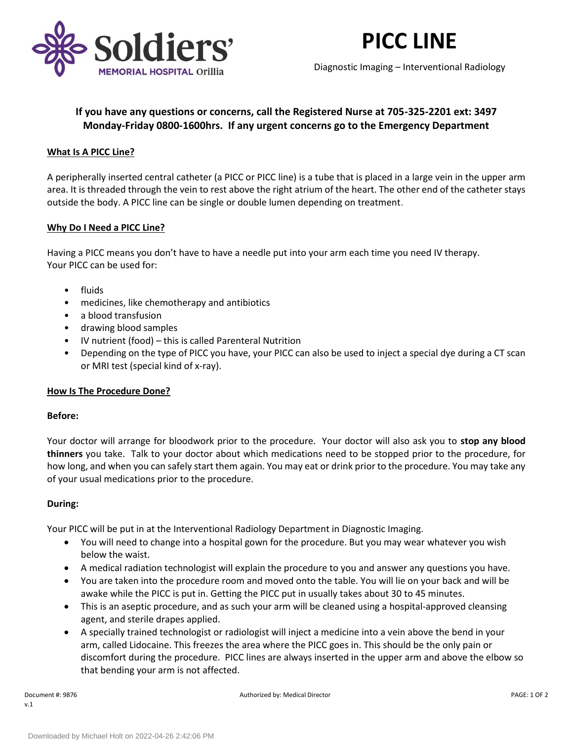

# **PICC LINE**

Diagnostic Imaging – Interventional Radiology

# **If you have any questions or concerns, call the Registered Nurse at 705-325-2201 ext: 3497 Monday-Friday 0800-1600hrs. If any urgent concerns go to the Emergency Department**

## **What Is A PICC Line?**

A peripherally inserted central catheter (a PICC or PICC line) is a tube that is placed in a large vein in the upper arm area. It is threaded through the vein to rest above the right atrium of the heart. The other end of the catheter stays outside the body. A PICC line can be single or double lumen depending on treatment.

#### **Why Do I Need a PICC Line?**

Having a PICC means you don't have to have a needle put into your arm each time you need IV therapy. Your PICC can be used for:

- fluids
- medicines, like chemotherapy and antibiotics
- a blood transfusion
- drawing blood samples
- IV nutrient (food) this is called Parenteral Nutrition
- Depending on the type of PICC you have, your PICC can also be used to inject a special dye during a CT scan or MRI test (special kind of x-ray).

#### **How Is The Procedure Done?**

#### **Before:**

Your doctor will arrange for bloodwork prior to the procedure. Your doctor will also ask you to **stop any blood thinners** you take. Talk to your doctor about which medications need to be stopped prior to the procedure, for how long, and when you can safely start them again. You may eat or drink prior to the procedure. You may take any of your usual medications prior to the procedure.

#### **During:**

Your PICC will be put in at the Interventional Radiology Department in Diagnostic Imaging.

- You will need to change into a hospital gown for the procedure. But you may wear whatever you wish below the waist.
- A medical radiation technologist will explain the procedure to you and answer any questions you have.
- You are taken into the procedure room and moved onto the table. You will lie on your back and will be awake while the PICC is put in. Getting the PICC put in usually takes about 30 to 45 minutes.
- This is an aseptic procedure, and as such your arm will be cleaned using a hospital-approved cleansing agent, and sterile drapes applied.
- A specially trained technologist or radiologist will inject a medicine into a vein above the bend in your arm, called Lidocaine. This freezes the area where the PICC goes in. This should be the only pain or discomfort during the procedure. PICC lines are always inserted in the upper arm and above the elbow so that bending your arm is not affected.